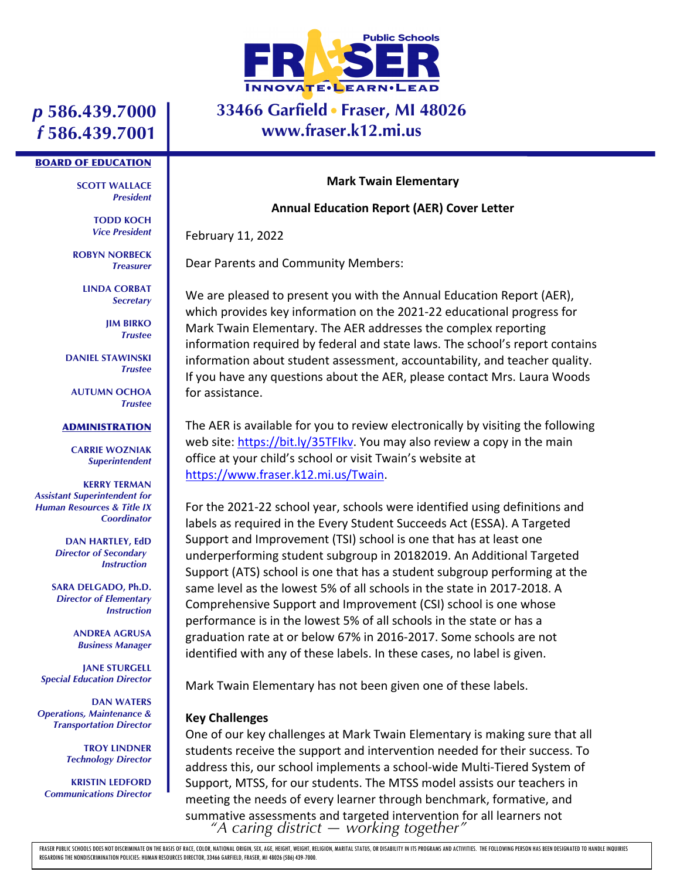

## **33466 Garfield Fraser, MI 48026 www.fraser.k12.mi.us**

# *p* **586.439.7000** *f* **586.439.7001**

#### BOARD OF EDUCATION

**SCOTT WALLACE** *President*

> **TODD KOCH** *Vice President*

**ROBYN NORBECK** *Treasurer*

> **LINDA CORBAT** *Secretary*

> > **JIM BIRKO** *Trustee*

**DANIEL STAWINSKI** *Trustee*

**AUTUMN OCHOA** *Trustee*

#### **ADMINISTRATION**

**CARRIE WOZNIAK** *Superintendent*

**KERRY TERMAN** *Assistant Superintendent for Human Resources & Title IX Coordinator*

> **DAN HARTLEY, EdD** *Director of Secondary Instruction*

**SARA DELGADO, Ph.D.** *Director of Elementary Instruction*

> **ANDREA AGRUSA** *Business Manager*

**JANE STURGELL** *Special Education Director*

**DAN WATERS** *Operations, Maintenance & Transportation Director*

> **TROY LINDNER** *Technology Director*

**KRISTIN LEDFORD** *Communications Director*

#### **Mark Twain Elementary**

### **Annual Education Report (AER) Cover Letter**

February 11, 2022

Dear Parents and Community Members:

We are pleased to present you with the Annual Education Report (AER), which provides key information on the 2021-22 educational progress for Mark Twain Elementary. The AER addresses the complex reporting information required by federal and state laws. The school's report contains information about student assessment, accountability, and teacher quality. If you have any questions about the AER, please contact Mrs. Laura Woods for assistance.

The AER is available for you to review electronically by visiting the following web site: https://bit.ly/35TFIkv. You may also review a copy in the main office at your child's school or visit Twain's website at https://www.fraser.k12.mi.us/Twain.

For the 2021-22 school year, schools were identified using definitions and labels as required in the Every Student Succeeds Act (ESSA). A Targeted Support and Improvement (TSI) school is one that has at least one underperforming student subgroup in 20182019. An Additional Targeted Support (ATS) school is one that has a student subgroup performing at the same level as the lowest 5% of all schools in the state in 2017-2018. A Comprehensive Support and Improvement (CSI) school is one whose performance is in the lowest 5% of all schools in the state or has a graduation rate at or below 67% in 2016-2017. Some schools are not identified with any of these labels. In these cases, no label is given.

Mark Twain Elementary has not been given one of these labels.

### **Key Challenges**

*"A caring district — working together"* One of our key challenges at Mark Twain Elementary is making sure that all students receive the support and intervention needed for their success. To address this, our school implements a school-wide Multi-Tiered System of Support, MTSS, for our students. The MTSS model assists our teachers in meeting the needs of every learner through benchmark, formative, and summative assessments and targeted intervention for all learners not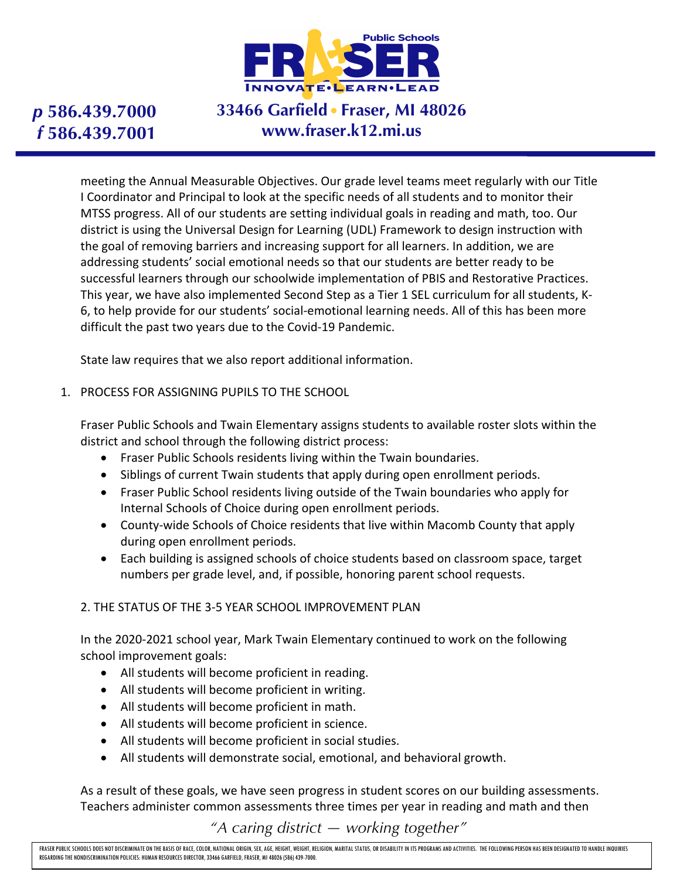

# **33466 Garfield Fraser, MI 48026 www.fraser.k12.mi.us**

meeting the Annual Measurable Objectives. Our grade level teams meet regularly with our Title I Coordinator and Principal to look at the specific needs of all students and to monitor their MTSS progress. All of our students are setting individual goals in reading and math, too. Our district is using the Universal Design for Learning (UDL) Framework to design instruction with the goal of removing barriers and increasing support for all learners. In addition, we are addressing students' social emotional needs so that our students are better ready to be successful learners through our schoolwide implementation of PBIS and Restorative Practices. This year, we have also implemented Second Step as a Tier 1 SEL curriculum for all students, K-6, to help provide for our students' social-emotional learning needs. All of this has been more difficult the past two years due to the Covid-19 Pandemic.

State law requires that we also report additional information.

1. PROCESS FOR ASSIGNING PUPILS TO THE SCHOOL

Fraser Public Schools and Twain Elementary assigns students to available roster slots within the district and school through the following district process:

- Fraser Public Schools residents living within the Twain boundaries.
- Siblings of current Twain students that apply during open enrollment periods.
- Fraser Public School residents living outside of the Twain boundaries who apply for Internal Schools of Choice during open enrollment periods.
- County-wide Schools of Choice residents that live within Macomb County that apply during open enrollment periods.
- Each building is assigned schools of choice students based on classroom space, target numbers per grade level, and, if possible, honoring parent school requests.

### 2. THE STATUS OF THE 3-5 YEAR SCHOOL IMPROVEMENT PLAN

In the 2020-2021 school year, Mark Twain Elementary continued to work on the following school improvement goals:

- All students will become proficient in reading.
- All students will become proficient in writing.
- All students will become proficient in math.
- All students will become proficient in science.
- All students will become proficient in social studies.
- All students will demonstrate social, emotional, and behavioral growth.

As a result of these goals, we have seen progress in student scores on our building assessments. Teachers administer common assessments three times per year in reading and math and then

*"A caring district — working together"*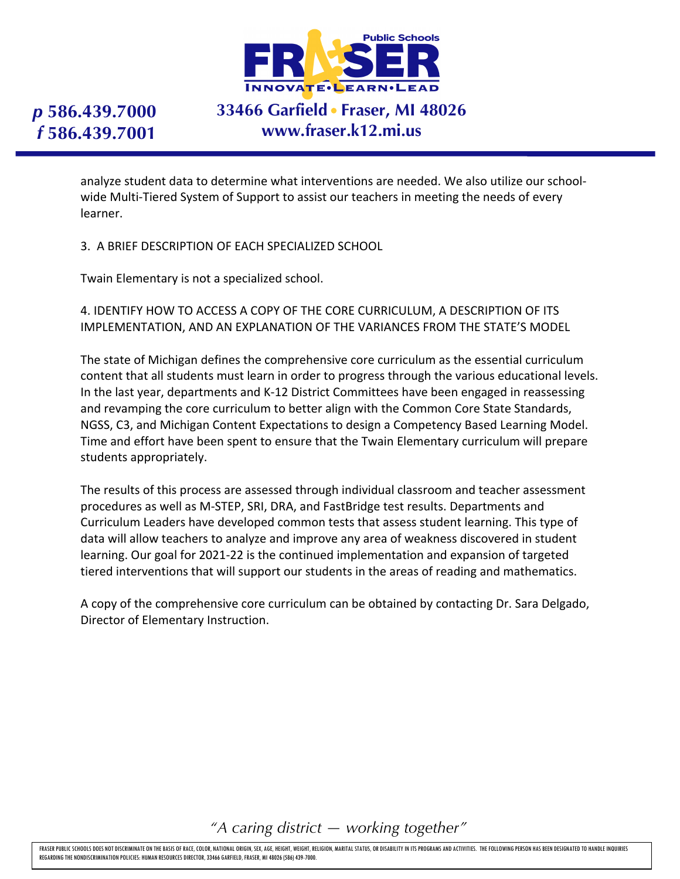

# **33466 Garfield Fraser, MI 48026 www.fraser.k12.mi.us**

analyze student data to determine what interventions are needed. We also utilize our schoolwide Multi-Tiered System of Support to assist our teachers in meeting the needs of every learner.

3. A BRIEF DESCRIPTION OF EACH SPECIALIZED SCHOOL

Twain Elementary is not a specialized school.

4. IDENTIFY HOW TO ACCESS A COPY OF THE CORE CURRICULUM, A DESCRIPTION OF ITS IMPLEMENTATION, AND AN EXPLANATION OF THE VARIANCES FROM THE STATE'S MODEL

The state of Michigan defines the comprehensive core curriculum as the essential curriculum content that all students must learn in order to progress through the various educational levels. In the last year, departments and K-12 District Committees have been engaged in reassessing and revamping the core curriculum to better align with the Common Core State Standards, NGSS, C3, and Michigan Content Expectations to design a Competency Based Learning Model. Time and effort have been spent to ensure that the Twain Elementary curriculum will prepare students appropriately.

The results of this process are assessed through individual classroom and teacher assessment procedures as well as M-STEP, SRI, DRA, and FastBridge test results. Departments and Curriculum Leaders have developed common tests that assess student learning. This type of data will allow teachers to analyze and improve any area of weakness discovered in student learning. Our goal for 2021-22 is the continued implementation and expansion of targeted tiered interventions that will support our students in the areas of reading and mathematics.

A copy of the comprehensive core curriculum can be obtained by contacting Dr. Sara Delgado, Director of Elementary Instruction.

*"A caring district — working together"*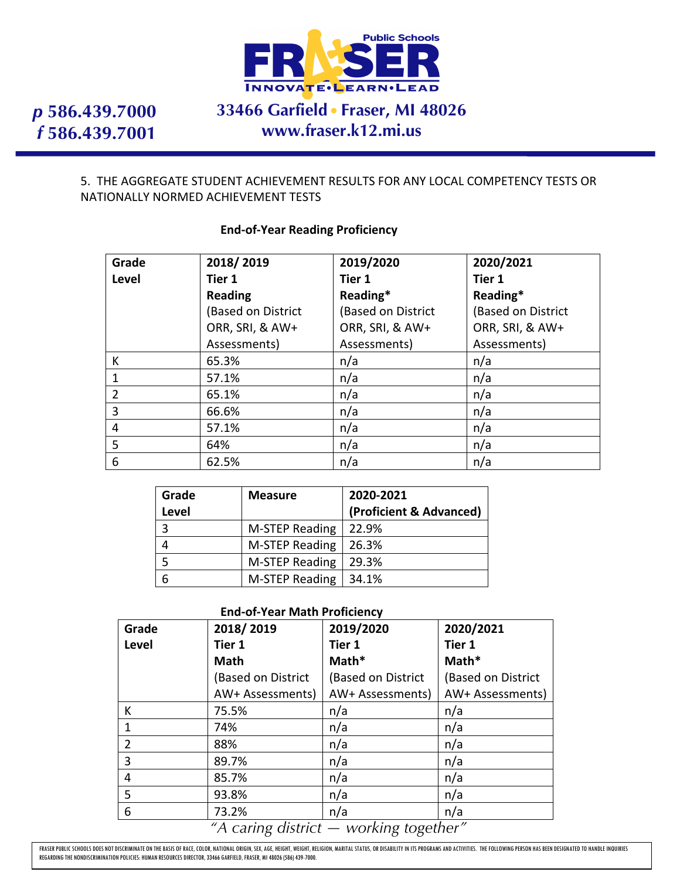

# **33466 Garfield Fraser, MI 48026 www.fraser.k12.mi.us**

### 5. THE AGGREGATE STUDENT ACHIEVEMENT RESULTS FOR ANY LOCAL COMPETENCY TESTS OR NATIONALLY NORMED ACHIEVEMENT TESTS

| Grade          | 2018/2019          | 2019/2020          | 2020/2021          |
|----------------|--------------------|--------------------|--------------------|
| Level          | Tier 1             | Tier 1             | Tier 1             |
|                | <b>Reading</b>     | Reading*           | Reading*           |
|                | (Based on District | (Based on District | (Based on District |
|                | ORR, SRI, & AW+    | ORR, SRI, & AW+    | ORR, SRI, & AW+    |
|                | Assessments)       | Assessments)       | Assessments)       |
| K              | 65.3%              | n/a                | n/a                |
| 1              | 57.1%              | n/a                | n/a                |
| $\overline{2}$ | 65.1%              | n/a                | n/a                |
| 3              | 66.6%              | n/a                | n/a                |
| 4              | 57.1%              | n/a                | n/a                |
| 5              | 64%                | n/a                | n/a                |
| 6              | 62.5%              | n/a                | n/a                |

#### **End-of-Year Reading Proficiency**

| Grade        | <b>Measure</b>        | 2020-2021               |
|--------------|-----------------------|-------------------------|
| <b>Level</b> |                       | (Proficient & Advanced) |
| 3            | <b>M-STEP Reading</b> | 22.9%                   |
|              | <b>M-STEP Reading</b> | 26.3%                   |
|              | <b>M-STEP Reading</b> | 29.3%                   |
| 6            | M-STEP Reading        | 34.1%                   |

#### **End-of-Year Math Proficiency**

| Grade                                  | 2018/2019          | 2019/2020          | 2020/2021          |  |
|----------------------------------------|--------------------|--------------------|--------------------|--|
| Level                                  | Tier 1             | Tier 1             | Tier 1             |  |
|                                        | <b>Math</b>        | Math*              | Math*              |  |
|                                        | (Based on District | (Based on District | (Based on District |  |
|                                        | AW+ Assessments)   | AW+ Assessments)   | AW+ Assessments)   |  |
| К                                      | 75.5%              | n/a                | n/a                |  |
| 1                                      | 74%                | n/a                | n/a                |  |
| $\overline{2}$                         | 88%                | n/a                | n/a                |  |
| 3                                      | 89.7%              | n/a                | n/a                |  |
| 4                                      | 85.7%              | n/a                | n/a                |  |
| 5                                      | 93.8%              | n/a                | n/a                |  |
| 6                                      | 73.2%              | n/a                | n/a                |  |
| "A caring district — working together" |                    |                    |                    |  |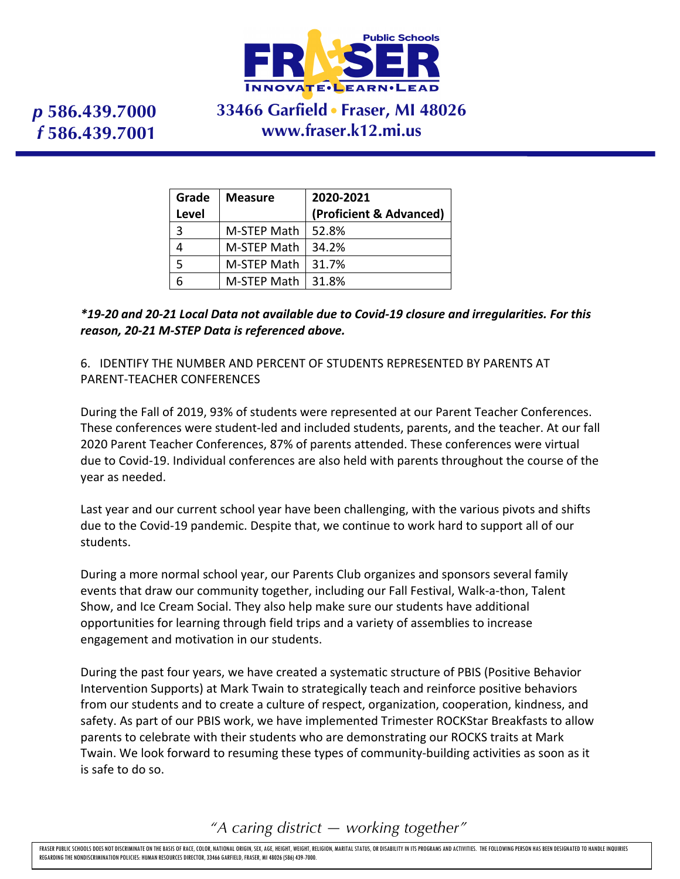

## **33466 Garfield Fraser, MI 48026 www.fraser.k12.mi.us**

| Grade        | <b>Measure</b> | 2020-2021               |
|--------------|----------------|-------------------------|
| <b>Level</b> |                | (Proficient & Advanced) |
| 3            | M-STEP Math    | 52.8%                   |
|              | M-STEP Math    | 34.2%                   |
| 5            | M-STEP Math    | 31.7%                   |
|              | M-STEP Math    | 31.8%                   |

*\*19-20 and 20-21 Local Data not available due to Covid-19 closure and irregularities. For this reason, 20-21 M-STEP Data is referenced above.*

6. IDENTIFY THE NUMBER AND PERCENT OF STUDENTS REPRESENTED BY PARENTS AT PARENT-TEACHER CONFERENCES

During the Fall of 2019, 93% of students were represented at our Parent Teacher Conferences. These conferences were student-led and included students, parents, and the teacher. At our fall 2020 Parent Teacher Conferences, 87% of parents attended. These conferences were virtual due to Covid-19. Individual conferences are also held with parents throughout the course of the year as needed.

Last year and our current school year have been challenging, with the various pivots and shifts due to the Covid-19 pandemic. Despite that, we continue to work hard to support all of our students.

During a more normal school year, our Parents Club organizes and sponsors several family events that draw our community together, including our Fall Festival, Walk-a-thon, Talent Show, and Ice Cream Social. They also help make sure our students have additional opportunities for learning through field trips and a variety of assemblies to increase engagement and motivation in our students.

During the past four years, we have created a systematic structure of PBIS (Positive Behavior Intervention Supports) at Mark Twain to strategically teach and reinforce positive behaviors from our students and to create a culture of respect, organization, cooperation, kindness, and safety. As part of our PBIS work, we have implemented Trimester ROCKStar Breakfasts to allow parents to celebrate with their students who are demonstrating our ROCKS traits at Mark Twain. We look forward to resuming these types of community-building activities as soon as it is safe to do so.

*"A caring district — working together"*